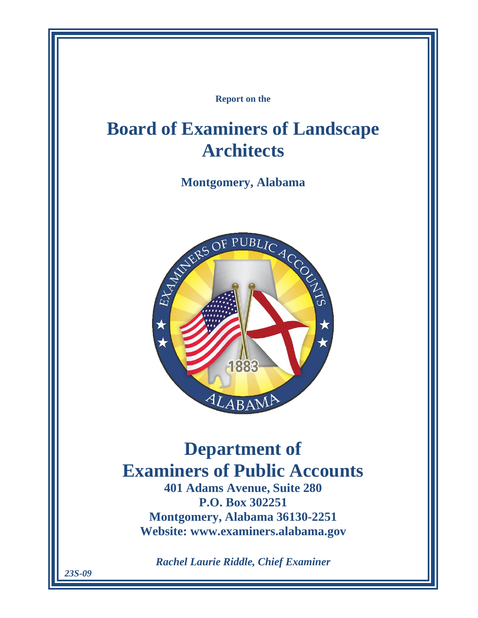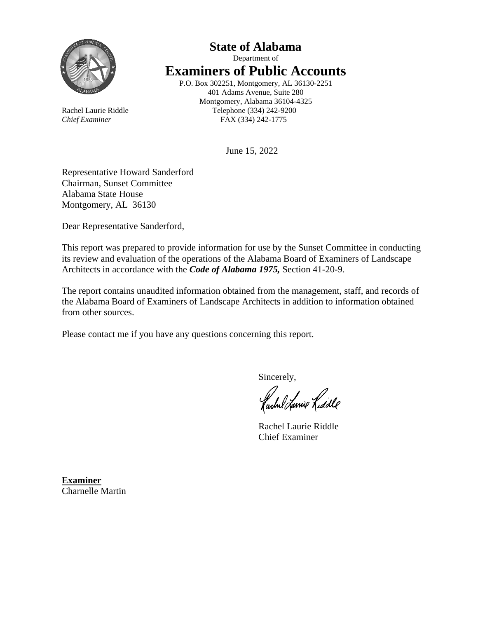

# **State of Alabama** Department of **Examiners of Public Accounts** P.O. Box 302251, Montgomery, AL 36130-2251

401 Adams Avenue, Suite 280 Montgomery, Alabama 36104-4325 Rachel Laurie Riddle Telephone (334) 242-9200 *Chief Examiner* FAX (334) 242-1775

June 15, 2022

Representative Howard Sanderford Chairman, Sunset Committee Alabama State House Montgomery, AL 36130

Dear Representative Sanderford,

This report was prepared to provide information for use by the Sunset Committee in conducting its review and evaluation of the operations of the Alabama Board of Examiners of Landscape Architects in accordance with the *Code of Alabama 1975,* Section 41-20-9.

The report contains unaudited information obtained from the management, staff, and records of the Alabama Board of Examiners of Landscape Architects in addition to information obtained from other sources.

Please contact me if you have any questions concerning this report.

Sincerely,

fachel Lanie Lidde

Rachel Laurie Riddle Chief Examiner

**Examiner** Charnelle Martin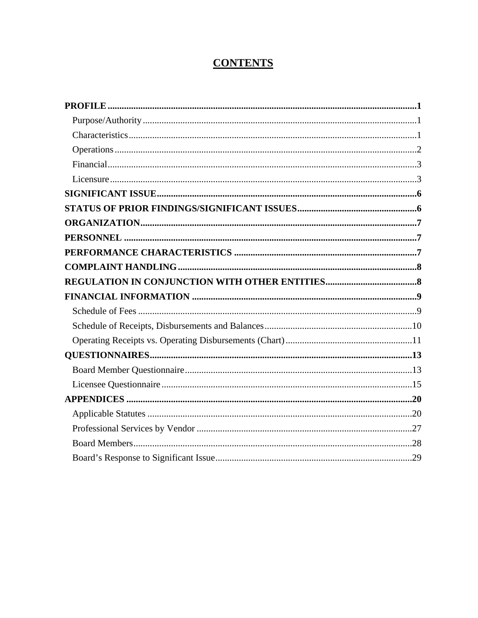# **CONTENTS**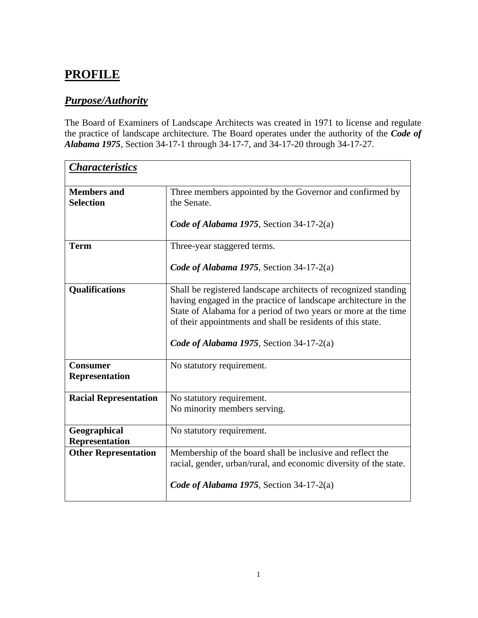# <span id="page-6-0"></span>**PROFILE**

# <span id="page-6-1"></span>*Purpose/Authority*

The Board of Examiners of Landscape Architects was created in 1971 to license and regulate the practice of landscape architecture. The Board operates under the authority of the *Code of Alabama 1975*, Section 34-17-1 through 34-17-7, and 34-17-20 through 34-17-27.

<span id="page-6-2"></span>

| <b>Characteristics</b>                   |                                                                                                                                                                                                                                                                                                                 |
|------------------------------------------|-----------------------------------------------------------------------------------------------------------------------------------------------------------------------------------------------------------------------------------------------------------------------------------------------------------------|
| <b>Members</b> and<br><b>Selection</b>   | Three members appointed by the Governor and confirmed by<br>the Senate.<br>Code of Alabama 1975, Section 34-17-2(a)                                                                                                                                                                                             |
| <b>Term</b>                              | Three-year staggered terms.<br>Code of Alabama 1975, Section 34-17-2(a)                                                                                                                                                                                                                                         |
| <b>Qualifications</b>                    | Shall be registered landscape architects of recognized standing<br>having engaged in the practice of landscape architecture in the<br>State of Alabama for a period of two years or more at the time<br>of their appointments and shall be residents of this state.<br>Code of Alabama 1975, Section 34-17-2(a) |
| <b>Consumer</b><br><b>Representation</b> | No statutory requirement.                                                                                                                                                                                                                                                                                       |
| <b>Racial Representation</b>             | No statutory requirement.<br>No minority members serving.                                                                                                                                                                                                                                                       |
| Geographical<br><b>Representation</b>    | No statutory requirement.                                                                                                                                                                                                                                                                                       |
| <b>Other Representation</b>              | Membership of the board shall be inclusive and reflect the<br>racial, gender, urban/rural, and economic diversity of the state.<br>Code of Alabama 1975, Section 34-17-2(a)                                                                                                                                     |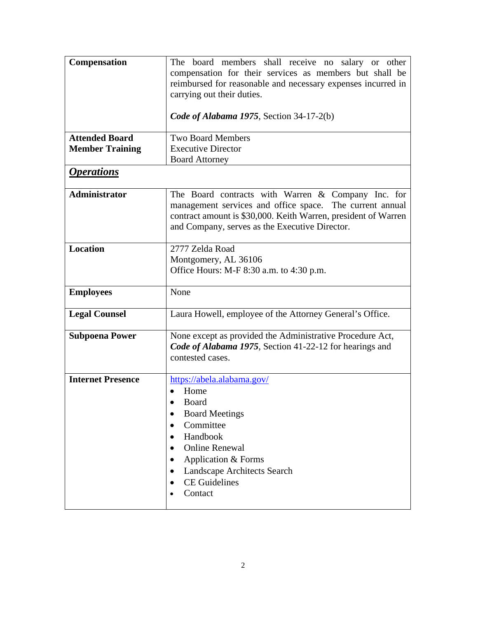<span id="page-7-0"></span>

| Compensation             | The board members shall receive no salary or other                                                               |
|--------------------------|------------------------------------------------------------------------------------------------------------------|
|                          | compensation for their services as members but shall be                                                          |
|                          | reimbursed for reasonable and necessary expenses incurred in<br>carrying out their duties.                       |
|                          |                                                                                                                  |
|                          | Code of Alabama 1975, Section 34-17-2(b)                                                                         |
| <b>Attended Board</b>    | <b>Two Board Members</b>                                                                                         |
| <b>Member Training</b>   | <b>Executive Director</b>                                                                                        |
|                          | <b>Board Attorney</b>                                                                                            |
| <i><b>Operations</b></i> |                                                                                                                  |
| <b>Administrator</b>     | The Board contracts with Warren & Company Inc. for                                                               |
|                          | management services and office space. The current annual                                                         |
|                          | contract amount is \$30,000. Keith Warren, president of Warren<br>and Company, serves as the Executive Director. |
|                          |                                                                                                                  |
| Location                 | 2777 Zelda Road                                                                                                  |
|                          | Montgomery, AL 36106                                                                                             |
|                          | Office Hours: M-F 8:30 a.m. to 4:30 p.m.                                                                         |
| <b>Employees</b>         | None                                                                                                             |
| <b>Legal Counsel</b>     | Laura Howell, employee of the Attorney General's Office.                                                         |
| <b>Subpoena Power</b>    | None except as provided the Administrative Procedure Act,                                                        |
|                          | Code of Alabama 1975, Section 41-22-12 for hearings and                                                          |
|                          | contested cases.                                                                                                 |
| <b>Internet Presence</b> | https://abela.alabama.gov/                                                                                       |
|                          | Home                                                                                                             |
|                          | Board                                                                                                            |
|                          | <b>Board Meetings</b><br>٠                                                                                       |
|                          | Committee                                                                                                        |
|                          | Handbook<br>$\bullet$<br><b>Online Renewal</b>                                                                   |
|                          | Application & Forms                                                                                              |
|                          | Landscape Architects Search                                                                                      |
|                          | <b>CE</b> Guidelines                                                                                             |
|                          | Contact                                                                                                          |
|                          |                                                                                                                  |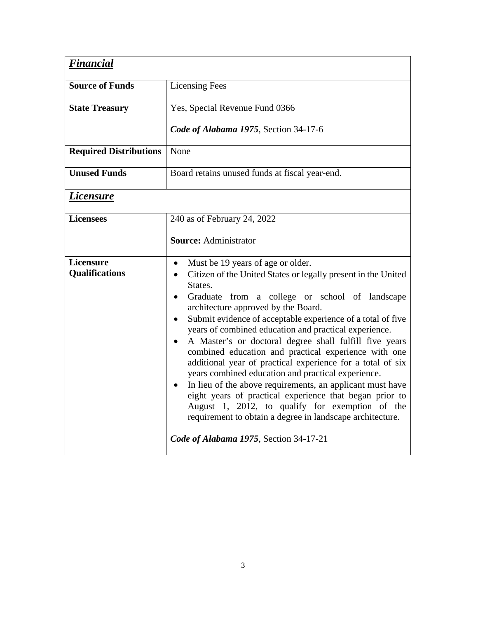<span id="page-8-1"></span><span id="page-8-0"></span>

| <b>Financial</b>                          |                                                                                                                                                                                                                                                                                                                                                                                                                                                                                                                                                                                                                                                                                                                                                                                                                                                                                               |  |  |  |  |
|-------------------------------------------|-----------------------------------------------------------------------------------------------------------------------------------------------------------------------------------------------------------------------------------------------------------------------------------------------------------------------------------------------------------------------------------------------------------------------------------------------------------------------------------------------------------------------------------------------------------------------------------------------------------------------------------------------------------------------------------------------------------------------------------------------------------------------------------------------------------------------------------------------------------------------------------------------|--|--|--|--|
| <b>Source of Funds</b>                    | <b>Licensing Fees</b>                                                                                                                                                                                                                                                                                                                                                                                                                                                                                                                                                                                                                                                                                                                                                                                                                                                                         |  |  |  |  |
| <b>State Treasury</b>                     | Yes, Special Revenue Fund 0366                                                                                                                                                                                                                                                                                                                                                                                                                                                                                                                                                                                                                                                                                                                                                                                                                                                                |  |  |  |  |
|                                           | Code of Alabama 1975, Section 34-17-6                                                                                                                                                                                                                                                                                                                                                                                                                                                                                                                                                                                                                                                                                                                                                                                                                                                         |  |  |  |  |
| <b>Required Distributions</b>             | None                                                                                                                                                                                                                                                                                                                                                                                                                                                                                                                                                                                                                                                                                                                                                                                                                                                                                          |  |  |  |  |
| <b>Unused Funds</b>                       | Board retains unused funds at fiscal year-end.                                                                                                                                                                                                                                                                                                                                                                                                                                                                                                                                                                                                                                                                                                                                                                                                                                                |  |  |  |  |
| Licensure                                 |                                                                                                                                                                                                                                                                                                                                                                                                                                                                                                                                                                                                                                                                                                                                                                                                                                                                                               |  |  |  |  |
| <b>Licensees</b>                          | 240 as of February 24, 2022                                                                                                                                                                                                                                                                                                                                                                                                                                                                                                                                                                                                                                                                                                                                                                                                                                                                   |  |  |  |  |
|                                           | <b>Source: Administrator</b>                                                                                                                                                                                                                                                                                                                                                                                                                                                                                                                                                                                                                                                                                                                                                                                                                                                                  |  |  |  |  |
| <b>Licensure</b><br><b>Qualifications</b> | Must be 19 years of age or older.<br>$\bullet$<br>Citizen of the United States or legally present in the United<br>States.<br>Graduate from a college or school of landscape<br>architecture approved by the Board.<br>Submit evidence of acceptable experience of a total of five<br>$\bullet$<br>years of combined education and practical experience.<br>A Master's or doctoral degree shall fulfill five years<br>$\bullet$<br>combined education and practical experience with one<br>additional year of practical experience for a total of six<br>years combined education and practical experience.<br>In lieu of the above requirements, an applicant must have<br>eight years of practical experience that began prior to<br>August 1, 2012, to qualify for exemption of the<br>requirement to obtain a degree in landscape architecture.<br>Code of Alabama 1975, Section 34-17-21 |  |  |  |  |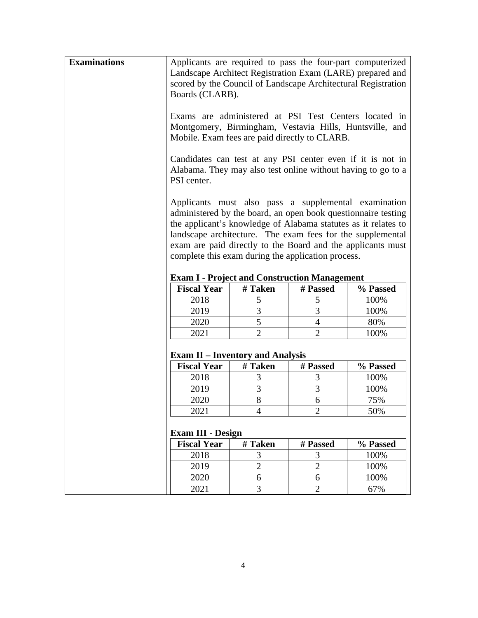| <b>Examinations</b> | Applicants are required to pass the four-part computerized<br>Landscape Architect Registration Exam (LARE) prepared and<br>scored by the Council of Landscape Architectural Registration<br>Boards (CLARB).<br>Exams are administered at PSI Test Centers located in<br>Montgomery, Birmingham, Vestavia Hills, Huntsville, and<br>Mobile. Exam fees are paid directly to CLARB.<br>Candidates can test at any PSI center even if it is not in<br>Alabama. They may also test online without having to go to a<br>PSI center.<br>Applicants must also pass a supplemental examination<br>administered by the board, an open book questionnaire testing<br>the applicant's knowledge of Alabama statutes as it relates to<br>landscape architecture. The exam fees for the supplemental<br>exam are paid directly to the Board and the applicants must<br>complete this exam during the application process. |                |                     |             |  |  |  |  |  |
|---------------------|-------------------------------------------------------------------------------------------------------------------------------------------------------------------------------------------------------------------------------------------------------------------------------------------------------------------------------------------------------------------------------------------------------------------------------------------------------------------------------------------------------------------------------------------------------------------------------------------------------------------------------------------------------------------------------------------------------------------------------------------------------------------------------------------------------------------------------------------------------------------------------------------------------------|----------------|---------------------|-------------|--|--|--|--|--|
|                     | <b>Exam I - Project and Construction Management</b>                                                                                                                                                                                                                                                                                                                                                                                                                                                                                                                                                                                                                                                                                                                                                                                                                                                         |                |                     |             |  |  |  |  |  |
|                     | <b>Fiscal Year</b>                                                                                                                                                                                                                                                                                                                                                                                                                                                                                                                                                                                                                                                                                                                                                                                                                                                                                          | # Taken        | # Passed            | % Passed    |  |  |  |  |  |
|                     | 2018                                                                                                                                                                                                                                                                                                                                                                                                                                                                                                                                                                                                                                                                                                                                                                                                                                                                                                        | 5              | 5                   | 100%        |  |  |  |  |  |
|                     | 2019                                                                                                                                                                                                                                                                                                                                                                                                                                                                                                                                                                                                                                                                                                                                                                                                                                                                                                        | 3              | 3                   | 100%        |  |  |  |  |  |
|                     | 2020                                                                                                                                                                                                                                                                                                                                                                                                                                                                                                                                                                                                                                                                                                                                                                                                                                                                                                        | 5              | 4                   | 80%         |  |  |  |  |  |
|                     | 2021                                                                                                                                                                                                                                                                                                                                                                                                                                                                                                                                                                                                                                                                                                                                                                                                                                                                                                        | $\overline{2}$ | $\overline{2}$      | 100%        |  |  |  |  |  |
|                     | <b>Exam II – Inventory and Analysis</b>                                                                                                                                                                                                                                                                                                                                                                                                                                                                                                                                                                                                                                                                                                                                                                                                                                                                     |                |                     |             |  |  |  |  |  |
|                     | <b>Fiscal Year</b>                                                                                                                                                                                                                                                                                                                                                                                                                                                                                                                                                                                                                                                                                                                                                                                                                                                                                          | # Taken        | # Passed            | % Passed    |  |  |  |  |  |
|                     | 2018                                                                                                                                                                                                                                                                                                                                                                                                                                                                                                                                                                                                                                                                                                                                                                                                                                                                                                        | 3              | 3                   | 100%        |  |  |  |  |  |
|                     | 2019                                                                                                                                                                                                                                                                                                                                                                                                                                                                                                                                                                                                                                                                                                                                                                                                                                                                                                        | 3              | 3                   | 100%        |  |  |  |  |  |
|                     | 2020                                                                                                                                                                                                                                                                                                                                                                                                                                                                                                                                                                                                                                                                                                                                                                                                                                                                                                        | 8              | 6                   | 75%         |  |  |  |  |  |
|                     | 2021                                                                                                                                                                                                                                                                                                                                                                                                                                                                                                                                                                                                                                                                                                                                                                                                                                                                                                        | 4              | 2                   | 50%         |  |  |  |  |  |
|                     | <b>Exam III - Design</b>                                                                                                                                                                                                                                                                                                                                                                                                                                                                                                                                                                                                                                                                                                                                                                                                                                                                                    |                |                     |             |  |  |  |  |  |
|                     | <b>Fiscal Year</b>                                                                                                                                                                                                                                                                                                                                                                                                                                                                                                                                                                                                                                                                                                                                                                                                                                                                                          | # Taken        | # Passed            | % Passed    |  |  |  |  |  |
|                     | 2018                                                                                                                                                                                                                                                                                                                                                                                                                                                                                                                                                                                                                                                                                                                                                                                                                                                                                                        | 3              | 3                   | 100%        |  |  |  |  |  |
|                     | 2019                                                                                                                                                                                                                                                                                                                                                                                                                                                                                                                                                                                                                                                                                                                                                                                                                                                                                                        | $\overline{2}$ | $\overline{2}$      | 100%        |  |  |  |  |  |
|                     |                                                                                                                                                                                                                                                                                                                                                                                                                                                                                                                                                                                                                                                                                                                                                                                                                                                                                                             |                |                     |             |  |  |  |  |  |
|                     | 2020<br>2021                                                                                                                                                                                                                                                                                                                                                                                                                                                                                                                                                                                                                                                                                                                                                                                                                                                                                                | 6<br>3         | 6<br>$\mathfrak{2}$ | 100%<br>67% |  |  |  |  |  |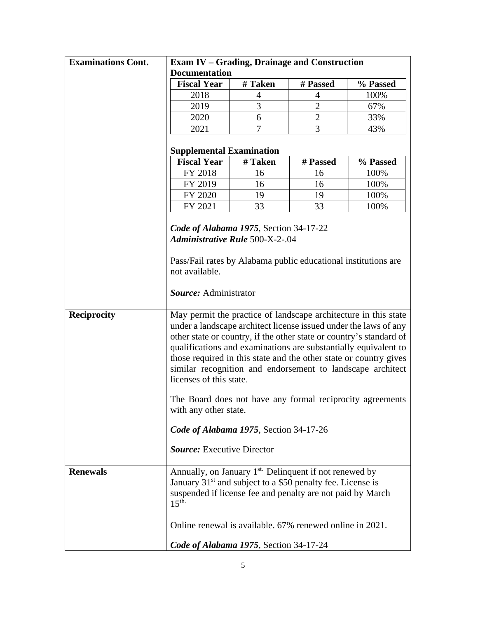| <b>Examinations Cont.</b> | <b>Exam IV - Grading, Drainage and Construction</b>                                                                                                                                                                                                                                                                                                                                                                                                                                                                                                                                                              |         |                |          |  |  |  |  |
|---------------------------|------------------------------------------------------------------------------------------------------------------------------------------------------------------------------------------------------------------------------------------------------------------------------------------------------------------------------------------------------------------------------------------------------------------------------------------------------------------------------------------------------------------------------------------------------------------------------------------------------------------|---------|----------------|----------|--|--|--|--|
|                           | <b>Documentation</b>                                                                                                                                                                                                                                                                                                                                                                                                                                                                                                                                                                                             |         |                |          |  |  |  |  |
|                           | <b>Fiscal Year</b>                                                                                                                                                                                                                                                                                                                                                                                                                                                                                                                                                                                               | # Taken | # Passed       | % Passed |  |  |  |  |
|                           | 2018                                                                                                                                                                                                                                                                                                                                                                                                                                                                                                                                                                                                             | 4       | 4              | 100%     |  |  |  |  |
|                           | 2019                                                                                                                                                                                                                                                                                                                                                                                                                                                                                                                                                                                                             | 3       | $\overline{2}$ | 67%      |  |  |  |  |
|                           | 2020                                                                                                                                                                                                                                                                                                                                                                                                                                                                                                                                                                                                             | 6       | $\overline{2}$ | 33%      |  |  |  |  |
|                           | 2021                                                                                                                                                                                                                                                                                                                                                                                                                                                                                                                                                                                                             | 7       | 3              | 43%      |  |  |  |  |
|                           | <b>Supplemental Examination</b>                                                                                                                                                                                                                                                                                                                                                                                                                                                                                                                                                                                  |         |                |          |  |  |  |  |
|                           | <b>Fiscal Year</b>                                                                                                                                                                                                                                                                                                                                                                                                                                                                                                                                                                                               | # Taken | # Passed       | % Passed |  |  |  |  |
|                           | FY 2018                                                                                                                                                                                                                                                                                                                                                                                                                                                                                                                                                                                                          | 16      | 16             | 100%     |  |  |  |  |
|                           | FY 2019                                                                                                                                                                                                                                                                                                                                                                                                                                                                                                                                                                                                          | 16      | 16             | 100%     |  |  |  |  |
|                           | FY 2020                                                                                                                                                                                                                                                                                                                                                                                                                                                                                                                                                                                                          | 19      | 19             | 100%     |  |  |  |  |
|                           | FY 2021                                                                                                                                                                                                                                                                                                                                                                                                                                                                                                                                                                                                          | 33      | 33             | 100%     |  |  |  |  |
|                           |                                                                                                                                                                                                                                                                                                                                                                                                                                                                                                                                                                                                                  |         |                |          |  |  |  |  |
|                           | Code of Alabama 1975, Section 34-17-22<br><b>Administrative Rule 500-X-2-.04</b>                                                                                                                                                                                                                                                                                                                                                                                                                                                                                                                                 |         |                |          |  |  |  |  |
|                           |                                                                                                                                                                                                                                                                                                                                                                                                                                                                                                                                                                                                                  |         |                |          |  |  |  |  |
|                           |                                                                                                                                                                                                                                                                                                                                                                                                                                                                                                                                                                                                                  |         |                |          |  |  |  |  |
|                           | Pass/Fail rates by Alabama public educational institutions are<br>not available.                                                                                                                                                                                                                                                                                                                                                                                                                                                                                                                                 |         |                |          |  |  |  |  |
|                           |                                                                                                                                                                                                                                                                                                                                                                                                                                                                                                                                                                                                                  |         |                |          |  |  |  |  |
|                           | Source: Administrator                                                                                                                                                                                                                                                                                                                                                                                                                                                                                                                                                                                            |         |                |          |  |  |  |  |
| <b>Reciprocity</b>        | May permit the practice of landscape architecture in this state<br>under a landscape architect license issued under the laws of any<br>other state or country, if the other state or country's standard of<br>qualifications and examinations are substantially equivalent to<br>those required in this state and the other state or country gives<br>similar recognition and endorsement to landscape architect<br>licenses of this state.<br>The Board does not have any formal reciprocity agreements<br>with any other state.<br>Code of Alabama 1975, Section 34-17-26<br><b>Source:</b> Executive Director |         |                |          |  |  |  |  |
| <b>Renewals</b>           | Annually, on January 1 <sup>st.</sup> Delinquent if not renewed by<br>January 31 <sup>st</sup> and subject to a \$50 penalty fee. License is<br>suspended if license fee and penalty are not paid by March<br>15 <sup>th</sup>                                                                                                                                                                                                                                                                                                                                                                                   |         |                |          |  |  |  |  |
|                           | Online renewal is available. 67% renewed online in 2021.                                                                                                                                                                                                                                                                                                                                                                                                                                                                                                                                                         |         |                |          |  |  |  |  |
|                           | Code of Alabama 1975, Section 34-17-24                                                                                                                                                                                                                                                                                                                                                                                                                                                                                                                                                                           |         |                |          |  |  |  |  |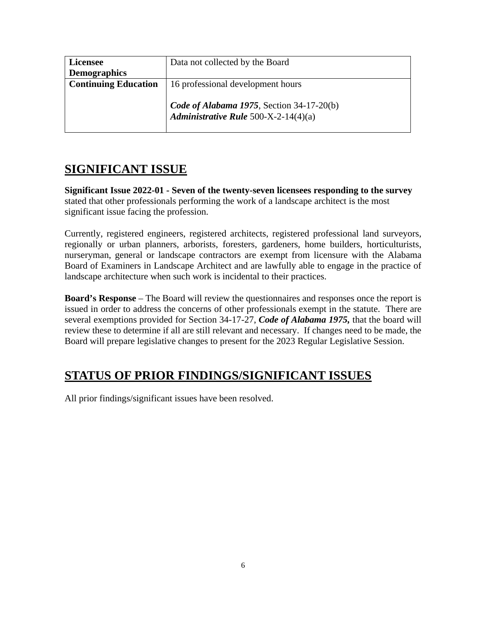| <b>Licensee</b>             | Data not collected by the Board                                                   |
|-----------------------------|-----------------------------------------------------------------------------------|
| <b>Demographics</b>         |                                                                                   |
| <b>Continuing Education</b> | 16 professional development hours                                                 |
|                             | Code of Alabama 1975, Section 34-17-20(b)<br>Administrative Rule 500-X-2-14(4)(a) |

# <span id="page-11-0"></span>**SIGNIFICANT ISSUE**

**Significant Issue 2022-01 - Seven of the twenty-seven licensees responding to the survey** stated that other professionals performing the work of a landscape architect is the most significant issue facing the profession.

Currently, registered engineers, registered architects, registered professional land surveyors, regionally or urban planners, arborists, foresters, gardeners, home builders, horticulturists, nurseryman, general or landscape contractors are exempt from licensure with the Alabama Board of Examiners in Landscape Architect and are lawfully able to engage in the practice of landscape architecture when such work is incidental to their practices.

**Board's Response** – The Board will review the questionnaires and responses once the report is issued in order to address the concerns of other professionals exempt in the statute. There are several exemptions provided for Section 34-17-27, *Code of Alabama 1975,* that the board will review these to determine if all are still relevant and necessary. If changes need to be made, the Board will prepare legislative changes to present for the 2023 Regular Legislative Session.

# <span id="page-11-1"></span>**STATUS OF PRIOR FINDINGS/SIGNIFICANT ISSUES**

All prior findings/significant issues have been resolved.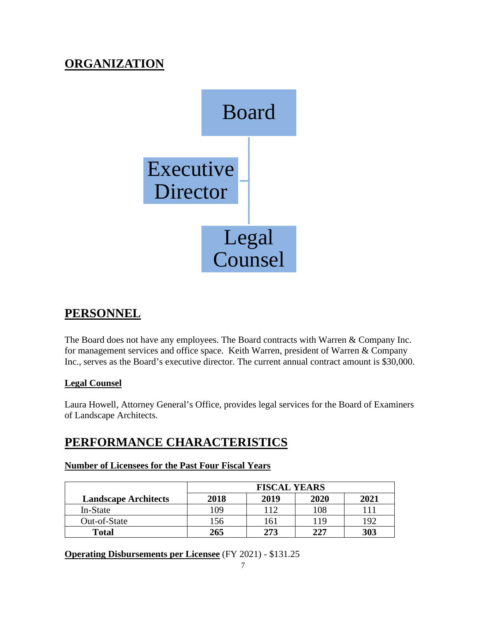# <span id="page-12-0"></span>**ORGANIZATION**



# <span id="page-12-1"></span>**PERSONNEL**

The Board does not have any employees. The Board contracts with Warren & Company Inc. for management services and office space. Keith Warren, president of Warren & Company Inc., serves as the Board's executive director. The current annual contract amount is \$30,000.

# **Legal Counsel**

Laura Howell, Attorney General's Office, provides legal services for the Board of Examiners of Landscape Architects.

# <span id="page-12-2"></span>**PERFORMANCE CHARACTERISTICS**

# **Number of Licensees for the Past Four Fiscal Years**

|                             | <b>FISCAL YEARS</b> |      |      |      |  |
|-----------------------------|---------------------|------|------|------|--|
| <b>Landscape Architects</b> | 2018                | 2019 | 2020 | 2021 |  |
| In-State                    | 109                 |      | 108  |      |  |
| Out-of-State                | 56ء                 | 161  | 119  | 192  |  |
| <b>Total</b>                | 265                 | 273  | 227  | 303  |  |

**Operating Disbursements per Licensee** (FY 2021) - \$131.25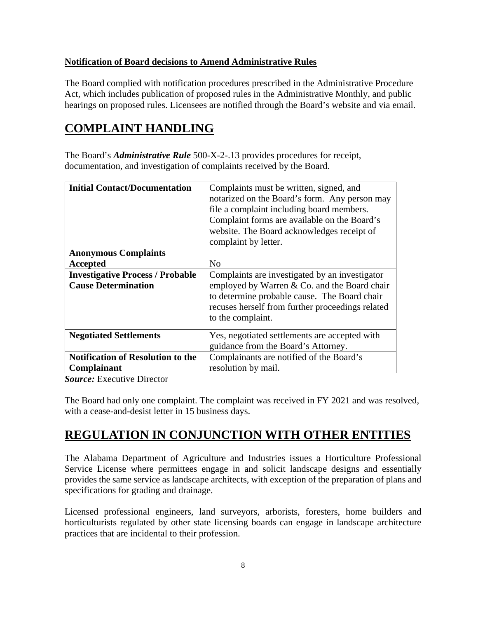# **Notification of Board decisions to Amend Administrative Rules**

The Board complied with notification procedures prescribed in the Administrative Procedure Act, which includes publication of proposed rules in the Administrative Monthly, and public hearings on proposed rules. Licensees are notified through the Board's website and via email.

# <span id="page-13-0"></span>**COMPLAINT HANDLING**

The Board's *Administrative Rule* 500-X-2-.13 provides procedures for receipt, documentation, and investigation of complaints received by the Board.

| <b>Initial Contact/Documentation</b>                                  | Complaints must be written, signed, and<br>notarized on the Board's form. Any person may<br>file a complaint including board members.<br>Complaint forms are available on the Board's<br>website. The Board acknowledges receipt of<br>complaint by letter. |  |
|-----------------------------------------------------------------------|-------------------------------------------------------------------------------------------------------------------------------------------------------------------------------------------------------------------------------------------------------------|--|
| <b>Anonymous Complaints</b><br>Accepted                               | N <sub>0</sub>                                                                                                                                                                                                                                              |  |
| <b>Investigative Process / Probable</b><br><b>Cause Determination</b> | Complaints are investigated by an investigator<br>employed by Warren & Co. and the Board chair<br>to determine probable cause. The Board chair<br>recuses herself from further proceedings related<br>to the complaint.                                     |  |
| <b>Negotiated Settlements</b>                                         | Yes, negotiated settlements are accepted with<br>guidance from the Board's Attorney.                                                                                                                                                                        |  |
| <b>Notification of Resolution to the</b><br><b>Complainant</b>        | Complainants are notified of the Board's<br>resolution by mail.                                                                                                                                                                                             |  |

*Source:* Executive Director

The Board had only one complaint. The complaint was received in FY 2021 and was resolved, with a cease-and-desist letter in 15 business days.

# <span id="page-13-1"></span>**REGULATION IN CONJUNCTION WITH OTHER ENTITIES**

The Alabama Department of Agriculture and Industries issues a Horticulture Professional Service License where permittees engage in and solicit landscape designs and essentially provides the same service as landscape architects, with exception of the preparation of plans and specifications for grading and drainage.

Licensed professional engineers, land surveyors, arborists, foresters, home builders and horticulturists regulated by other state licensing boards can engage in landscape architecture practices that are incidental to their profession.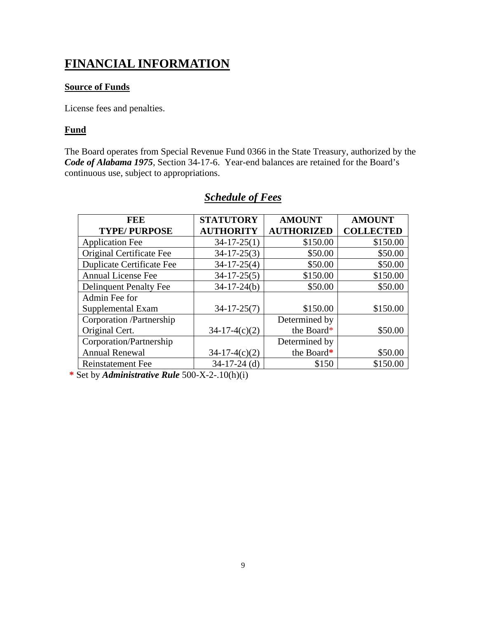# <span id="page-14-0"></span>**FINANCIAL INFORMATION**

## **Source of Funds**

License fees and penalties.

## **Fund**

The Board operates from Special Revenue Fund 0366 in the State Treasury, authorized by the *Code of Alabama 1975*, Section 34-17-6. Year-end balances are retained for the Board's continuous use, subject to appropriations.

<span id="page-14-1"></span>

| FEE                           | <b>STATUTORY</b>  | <b>AMOUNT</b>     | <b>AMOUNT</b>    |
|-------------------------------|-------------------|-------------------|------------------|
| <b>TYPE/PURPOSE</b>           | <b>AUTHORITY</b>  | <b>AUTHORIZED</b> | <b>COLLECTED</b> |
| <b>Application Fee</b>        | $34-17-25(1)$     | \$150.00          | \$150.00         |
| Original Certificate Fee      | $34-17-25(3)$     | \$50.00           | \$50.00          |
| Duplicate Certificate Fee     | $34-17-25(4)$     | \$50.00           | \$50.00          |
| Annual License Fee            | $34-17-25(5)$     | \$150.00          | \$150.00         |
| <b>Delinquent Penalty Fee</b> | $34 - 17 - 24(b)$ | \$50.00           | \$50.00          |
| Admin Fee for                 |                   |                   |                  |
| Supplemental Exam             | $34 - 17 - 25(7)$ | \$150.00          | \$150.00         |
| Corporation /Partnership      |                   | Determined by     |                  |
| Original Cert.                | $34-17-4(c)(2)$   | the Board*        | \$50.00          |
| Corporation/Partnership       |                   | Determined by     |                  |
| <b>Annual Renewal</b>         | $34-17-4(c)(2)$   | the Board*        | \$50.00          |
| <b>Reinstatement Fee</b>      | $34-17-24$ (d)    | \$150             | \$150.00         |

# *Schedule of Fees*

**\*** Set by *Administrative Rule* 500-X-2-.10(h)(i)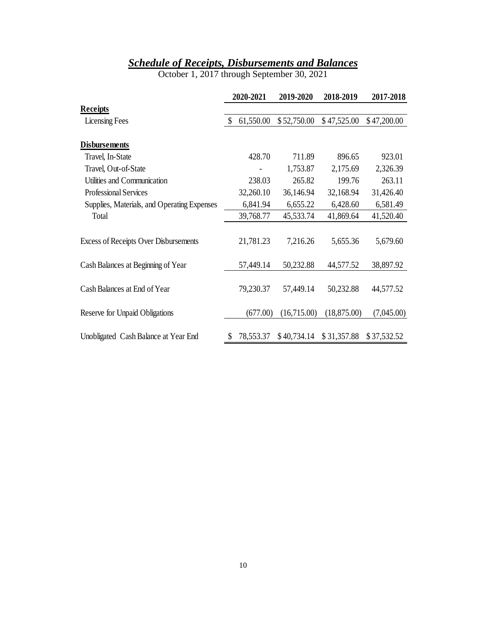# *Schedule of Receipts, Disbursements and Balances*

October 1, 2017 through September 30, 2021

<span id="page-15-0"></span>

|                                              |              | 2020-2021 | 2019-2020   | 2018-2019    | 2017-2018   |
|----------------------------------------------|--------------|-----------|-------------|--------------|-------------|
| <b>Receipts</b>                              |              |           |             |              |             |
| <b>Licensing Fees</b>                        | $\mathbb{S}$ | 61,550.00 | \$52,750.00 | \$47,525.00  | \$47,200.00 |
| <b>Disbursements</b>                         |              |           |             |              |             |
| Travel, In-State                             |              | 428.70    | 711.89      | 896.65       | 923.01      |
| Travel, Out-of-State                         |              |           | 1,753.87    | 2,175.69     | 2,326.39    |
| Utilities and Communication                  |              | 238.03    | 265.82      | 199.76       | 263.11      |
| <b>Professional Services</b>                 |              | 32,260.10 | 36,146.94   | 32,168.94    | 31,426.40   |
| Supplies, Materials, and Operating Expenses  |              | 6,841.94  | 6,655.22    | 6,428.60     | 6,581.49    |
| Total                                        |              | 39,768.77 | 45,533.74   | 41,869.64    | 41,520.40   |
| <b>Excess of Receipts Over Disbursements</b> |              | 21,781.23 | 7,216.26    | 5,655.36     | 5,679.60    |
| Cash Balances at Beginning of Year           |              | 57,449.14 | 50,232.88   | 44,577.52    | 38,897.92   |
| Cash Balances at End of Year                 |              | 79,230.37 | 57,449.14   | 50,232.88    | 44,577.52   |
| Reserve for Unpaid Obligations               |              | (677.00)  | (16,715.00) | (18, 875.00) | (7,045.00)  |
| Unobligated Cash Balance at Year End         | \$           | 78,553.37 | \$40,734.14 | \$31,357.88  | \$37,532.52 |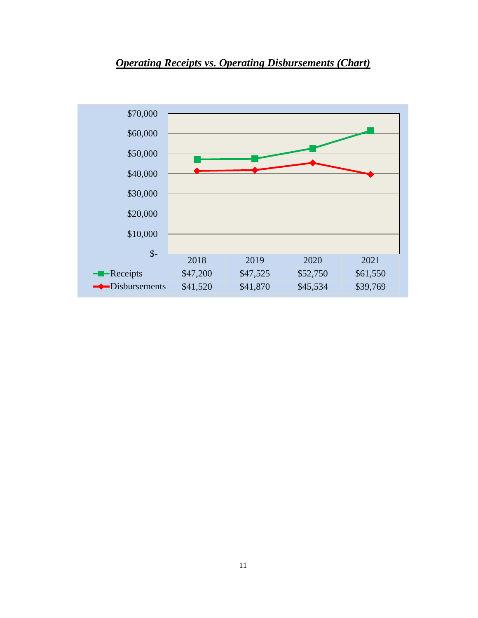<span id="page-16-0"></span>

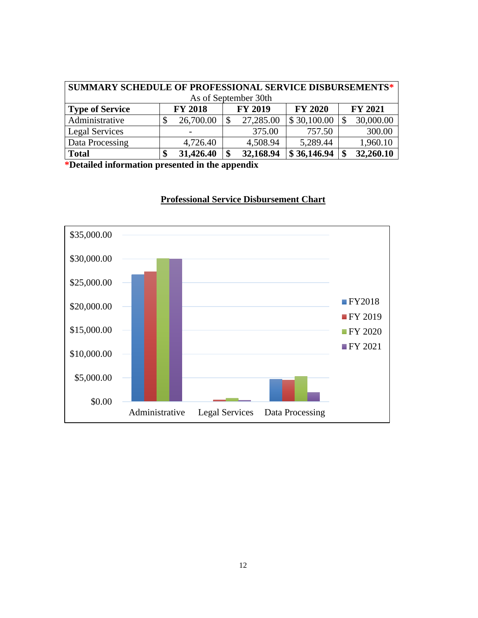| SUMMARY SCHEDULE OF PROFESSIONAL SERVICE DISBURSEMENTS* |    |                |    |                |                |     |                |  |
|---------------------------------------------------------|----|----------------|----|----------------|----------------|-----|----------------|--|
| As of September 30th                                    |    |                |    |                |                |     |                |  |
| <b>Type of Service</b>                                  |    | <b>FY 2018</b> |    | <b>FY 2019</b> | <b>FY 2020</b> |     | <b>FY 2021</b> |  |
| Administrative                                          | \$ | 26,700.00      | S  | 27,285.00      | \$30,100.00    |     | 30,000.00      |  |
| Legal Services                                          |    |                |    | 375.00         | 757.50         |     | 300.00         |  |
| Data Processing                                         |    | 4,726.40       |    | 4,508.94       | 5,289.44       |     | 1,960.10       |  |
| <b>Total</b>                                            | \$ | 31,426.40      | \$ | 32,168.94      | \$36,146.94    | -\$ | 32,260.10      |  |

**\*Detailed information presented in the appendix**



# **Professional Service Disbursement Chart**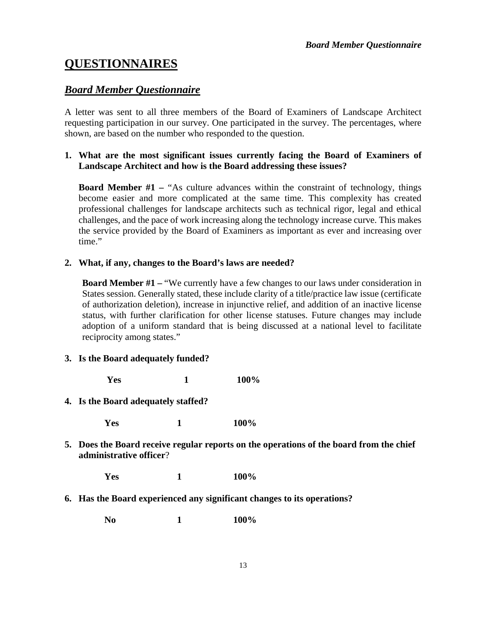# <span id="page-18-0"></span>**QUESTIONNAIRES**

# <span id="page-18-1"></span>*Board Member Questionnaire*

A letter was sent to all three members of the Board of Examiners of Landscape Architect requesting participation in our survey. One participated in the survey. The percentages, where shown, are based on the number who responded to the question.

## **1. What are the most significant issues currently facing the Board of Examiners of Landscape Architect and how is the Board addressing these issues?**

**Board Member #1 – "As culture advances within the constraint of technology, things** become easier and more complicated at the same time. This complexity has created professional challenges for landscape architects such as technical rigor, legal and ethical challenges, and the pace of work increasing along the technology increase curve. This makes the service provided by the Board of Examiners as important as ever and increasing over time."

## **2. What, if any, changes to the Board's laws are needed?**

**Board Member #1** – "We currently have a few changes to our laws under consideration in States session. Generally stated, these include clarity of a title/practice law issue (certificate of authorization deletion), increase in injunctive relief, and addition of an inactive license status, with further clarification for other license statuses. Future changes may include adoption of a uniform standard that is being discussed at a national level to facilitate reciprocity among states."

## **3. Is the Board adequately funded?**

**Yes 1 100%**

## **4. Is the Board adequately staffed?**

**Yes 1 100%**

**5. Does the Board receive regular reports on the operations of the board from the chief administrative officer**?

**Yes 1 100%**

**6. Has the Board experienced any significant changes to its operations?**

**No 1 100%**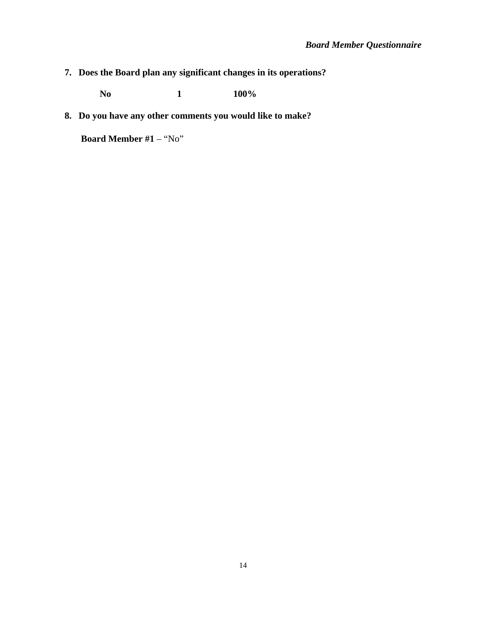**7. Does the Board plan any significant changes in its operations?**

**No 1 100%**

**8. Do you have any other comments you would like to make?**

**Board Member #1** – "No"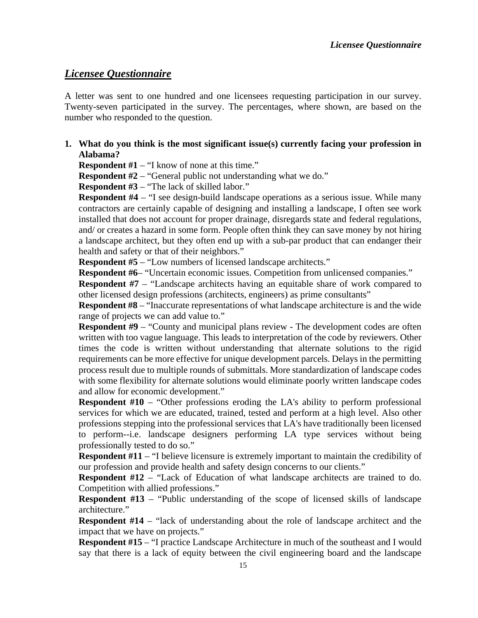# <span id="page-20-0"></span>*Licensee Questionnaire*

A letter was sent to one hundred and one licensees requesting participation in our survey. Twenty-seven participated in the survey. The percentages, where shown, are based on the number who responded to the question.

**1. What do you think is the most significant issue(s) currently facing your profession in Alabama?**

**Respondent #1** – "I know of none at this time."

**Respondent #2** – "General public not understanding what we do."

**Respondent #3** – "The lack of skilled labor."

**Respondent #4** – "I see design-build landscape operations as a serious issue. While many contractors are certainly capable of designing and installing a landscape, I often see work installed that does not account for proper drainage, disregards state and federal regulations, and/ or creates a hazard in some form. People often think they can save money by not hiring a landscape architect, but they often end up with a sub-par product that can endanger their health and safety or that of their neighbors."

**Respondent #5** – "Low numbers of licensed landscape architects."

**Respondent #6–** "Uncertain economic issues. Competition from unlicensed companies."

**Respondent #7** – "Landscape architects having an equitable share of work compared to other licensed design professions (architects, engineers) as prime consultants"

**Respondent #8** – "Inaccurate representations of what landscape architecture is and the wide range of projects we can add value to."

**Respondent #9** – "County and municipal plans review - The development codes are often written with too vague language. This leads to interpretation of the code by reviewers. Other times the code is written without understanding that alternate solutions to the rigid requirements can be more effective for unique development parcels. Delays in the permitting process result due to multiple rounds of submittals. More standardization of landscape codes with some flexibility for alternate solutions would eliminate poorly written landscape codes and allow for economic development."

**Respondent #10** – "Other professions eroding the LA's ability to perform professional services for which we are educated, trained, tested and perform at a high level. Also other professions stepping into the professional services that LA's have traditionally been licensed to perform--i.e. landscape designers performing LA type services without being professionally tested to do so."

**Respondent #11** – "I believe licensure is extremely important to maintain the credibility of our profession and provide health and safety design concerns to our clients."

**Respondent #12** – "Lack of Education of what landscape architects are trained to do. Competition with allied professions."

**Respondent #13** – "Public understanding of the scope of licensed skills of landscape architecture."

**Respondent #14** – "lack of understanding about the role of landscape architect and the impact that we have on projects."

**Respondent #15** – "I practice Landscape Architecture in much of the southeast and I would say that there is a lack of equity between the civil engineering board and the landscape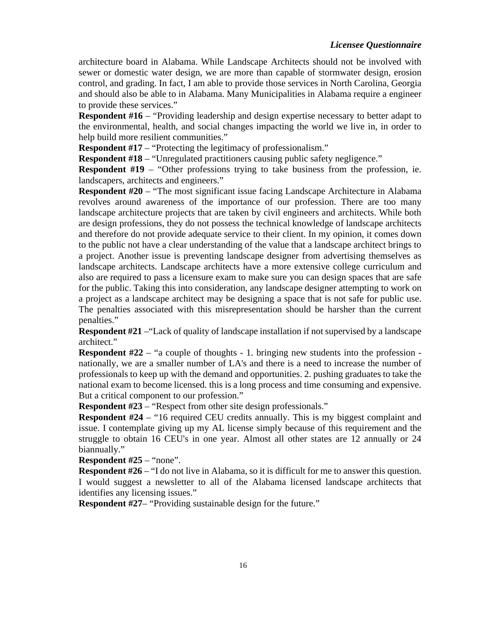## *Licensee Questionnaire*

architecture board in Alabama. While Landscape Architects should not be involved with sewer or domestic water design, we are more than capable of stormwater design, erosion control, and grading. In fact, I am able to provide those services in North Carolina, Georgia and should also be able to in Alabama. Many Municipalities in Alabama require a engineer to provide these services."

**Respondent #16** – "Providing leadership and design expertise necessary to better adapt to the environmental, health, and social changes impacting the world we live in, in order to help build more resilient communities."

**Respondent #17** – "Protecting the legitimacy of professionalism."

**Respondent #18** – "Unregulated practitioners causing public safety negligence."

**Respondent #19** – "Other professions trying to take business from the profession, ie. landscapers, architects and engineers."

**Respondent #20** – "The most significant issue facing Landscape Architecture in Alabama revolves around awareness of the importance of our profession. There are too many landscape architecture projects that are taken by civil engineers and architects. While both are design professions, they do not possess the technical knowledge of landscape architects and therefore do not provide adequate service to their client. In my opinion, it comes down to the public not have a clear understanding of the value that a landscape architect brings to a project. Another issue is preventing landscape designer from advertising themselves as landscape architects. Landscape architects have a more extensive college curriculum and also are required to pass a licensure exam to make sure you can design spaces that are safe for the public. Taking this into consideration, any landscape designer attempting to work on a project as a landscape architect may be designing a space that is not safe for public use. The penalties associated with this misrepresentation should be harsher than the current penalties."

**Respondent #21** –"Lack of quality of landscape installation if not supervised by a landscape architect."

**Respondent #22** – "a couple of thoughts - 1. bringing new students into the profession nationally, we are a smaller number of LA's and there is a need to increase the number of professionals to keep up with the demand and opportunities. 2. pushing graduates to take the national exam to become licensed. this is a long process and time consuming and expensive. But a critical component to our profession."

**Respondent #23** – "Respect from other site design professionals."

**Respondent** #24 – "16 required CEU credits annually. This is my biggest complaint and issue. I contemplate giving up my AL license simply because of this requirement and the struggle to obtain 16 CEU's in one year. Almost all other states are 12 annually or 24 biannually."

**Respondent #25** – "none".

**Respondent #26** – "I do not live in Alabama, so it is difficult for me to answer this question. I would suggest a newsletter to all of the Alabama licensed landscape architects that identifies any licensing issues."

**Respondent #27–** "Providing sustainable design for the future."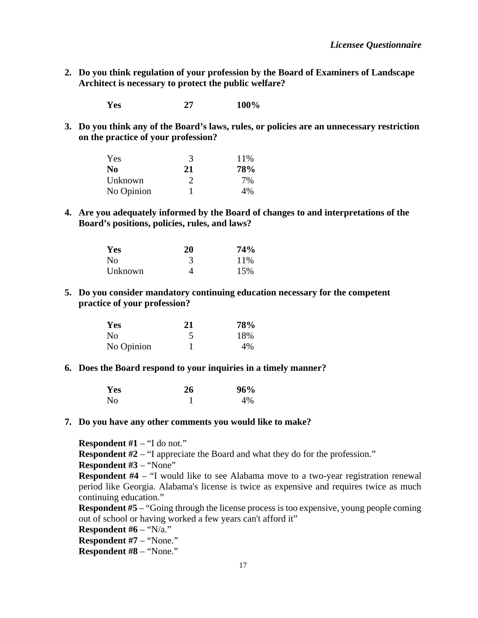**2. Do you think regulation of your profession by the Board of Examiners of Landscape Architect is necessary to protect the public welfare?**

**Yes 27 100%**

**3. Do you think any of the Board's laws, rules, or policies are an unnecessary restriction on the practice of your profession?**

| Yes        | 3             | 11% |  |
|------------|---------------|-----|--|
| No.        | 21            | 78% |  |
| Unknown    | $\mathcal{D}$ | 7%  |  |
| No Opinion |               | 4%  |  |

**4. Are you adequately informed by the Board of changes to and interpretations of the Board's positions, policies, rules, and laws?**

| Yes     | 20 | 74%  |  |
|---------|----|------|--|
| No      |    | 11\% |  |
| Unknown |    | 15%  |  |

**5. Do you consider mandatory continuing education necessary for the competent practice of your profession?**

| Yes            | 21 | 78%<br>18% |  |
|----------------|----|------------|--|
| N <sub>0</sub> |    |            |  |
| No Opinion     |    | $4\%$      |  |

#### **6. Does the Board respond to your inquiries in a timely manner?**

| Yes            | 26 | 96% |
|----------------|----|-----|
| N <sub>0</sub> |    | 4%  |

#### **7. Do you have any other comments you would like to make?**

**Respondent #1** – "I do not."

**Respondent #2** – "I appreciate the Board and what they do for the profession."

**Respondent #3** – "None"

**Respondent #4** – "I would like to see Alabama move to a two-year registration renewal period like Georgia. Alabama's license is twice as expensive and requires twice as much continuing education."

**Respondent #5** – "Going through the license process is too expensive, young people coming out of school or having worked a few years can't afford it"

**Respondent #6** – "N/a."

**Respondent #7** – "None."

**Respondent #8** – "None."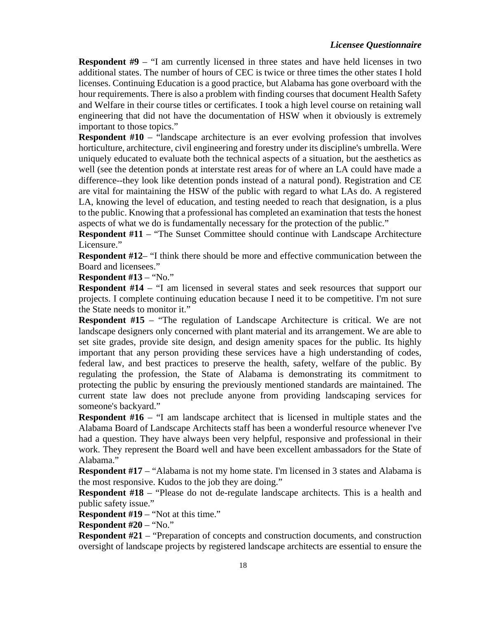## *Licensee Questionnaire*

**Respondent #9** – "I am currently licensed in three states and have held licenses in two additional states. The number of hours of CEC is twice or three times the other states I hold licenses. Continuing Education is a good practice, but Alabama has gone overboard with the hour requirements. There is also a problem with finding courses that document Health Safety and Welfare in their course titles or certificates. I took a high level course on retaining wall engineering that did not have the documentation of HSW when it obviously is extremely important to those topics."

**Respondent #10** – "landscape architecture is an ever evolving profession that involves horticulture, architecture, civil engineering and forestry under its discipline's umbrella. Were uniquely educated to evaluate both the technical aspects of a situation, but the aesthetics as well (see the detention ponds at interstate rest areas for of where an LA could have made a difference--they look like detention ponds instead of a natural pond). Registration and CE are vital for maintaining the HSW of the public with regard to what LAs do. A registered LA, knowing the level of education, and testing needed to reach that designation, is a plus to the public. Knowing that a professional has completed an examination that tests the honest aspects of what we do is fundamentally necessary for the protection of the public."

**Respondent #11** – "The Sunset Committee should continue with Landscape Architecture Licensure."

**Respondent #12**– "I think there should be more and effective communication between the Board and licensees."

**Respondent #13** – "No."

**Respondent #14** – "I am licensed in several states and seek resources that support our projects. I complete continuing education because I need it to be competitive. I'm not sure the State needs to monitor it."

**Respondent #15** – "The regulation of Landscape Architecture is critical. We are not landscape designers only concerned with plant material and its arrangement. We are able to set site grades, provide site design, and design amenity spaces for the public. Its highly important that any person providing these services have a high understanding of codes, federal law, and best practices to preserve the health, safety, welfare of the public. By regulating the profession, the State of Alabama is demonstrating its commitment to protecting the public by ensuring the previously mentioned standards are maintained. The current state law does not preclude anyone from providing landscaping services for someone's backyard."

**Respondent #16** – "I am landscape architect that is licensed in multiple states and the Alabama Board of Landscape Architects staff has been a wonderful resource whenever I've had a question. They have always been very helpful, responsive and professional in their work. They represent the Board well and have been excellent ambassadors for the State of Alabama."

**Respondent #17** – "Alabama is not my home state. I'm licensed in 3 states and Alabama is the most responsive. Kudos to the job they are doing."

**Respondent #18** – "Please do not de-regulate landscape architects. This is a health and public safety issue."

**Respondent #19** – "Not at this time."

**Respondent #20** – "No."

**Respondent #21** – "Preparation of concepts and construction documents, and construction oversight of landscape projects by registered landscape architects are essential to ensure the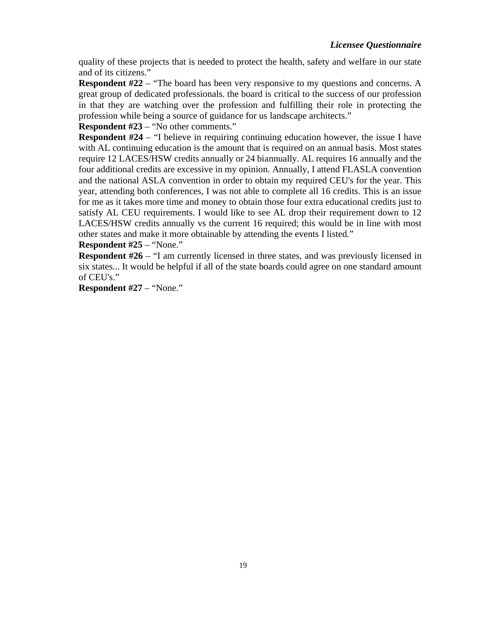quality of these projects that is needed to protect the health, safety and welfare in our state and of its citizens."

**Respondent #22** – "The board has been very responsive to my questions and concerns. A great group of dedicated professionals. the board is critical to the success of our profession in that they are watching over the profession and fulfilling their role in protecting the profession while being a source of guidance for us landscape architects."

**Respondent #23** – "No other comments."

**Respondent #24** – "I believe in requiring continuing education however, the issue I have with AL continuing education is the amount that is required on an annual basis. Most states require 12 LACES/HSW credits annually or 24 biannually. AL requires 16 annually and the four additional credits are excessive in my opinion. Annually, I attend FLASLA convention and the national ASLA convention in order to obtain my required CEU's for the year. This year, attending both conferences, I was not able to complete all 16 credits. This is an issue for me as it takes more time and money to obtain those four extra educational credits just to satisfy AL CEU requirements. I would like to see AL drop their requirement down to 12 LACES/HSW credits annually vs the current 16 required; this would be in line with most other states and make it more obtainable by attending the events I listed."

**Respondent #25** – "None."

**Respondent #26** – "I am currently licensed in three states, and was previously licensed in six states... It would be helpful if all of the state boards could agree on one standard amount of CEU's."

**Respondent #27** – "None."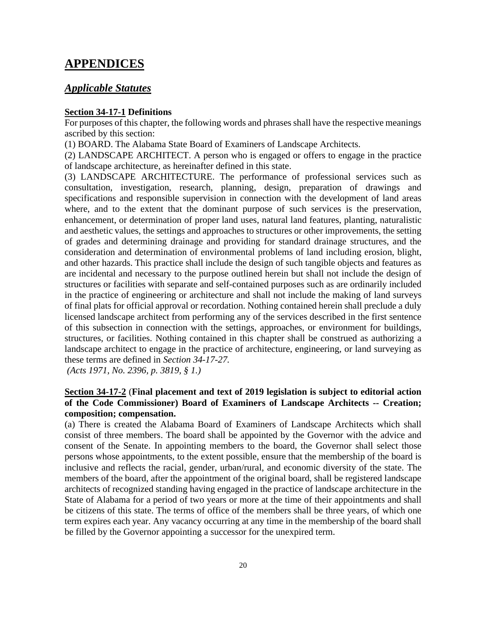# <span id="page-25-0"></span>**APPENDICES**

## <span id="page-25-1"></span>*Applicable Statutes*

#### **Section 34-17-1 Definitions**

For purposes of this chapter, the following words and phrases shall have the respective meanings ascribed by this section:

(1) BOARD. The Alabama State Board of Examiners of Landscape Architects.

(2) LANDSCAPE ARCHITECT. A person who is engaged or offers to engage in the practice of landscape architecture, as hereinafter defined in this state.

(3) LANDSCAPE ARCHITECTURE. The performance of professional services such as consultation, investigation, research, planning, design, preparation of drawings and specifications and responsible supervision in connection with the development of land areas where, and to the extent that the dominant purpose of such services is the preservation, enhancement, or determination of proper land uses, natural land features, planting, naturalistic and aesthetic values, the settings and approaches to structures or other improvements, the setting of grades and determining drainage and providing for standard drainage structures, and the consideration and determination of environmental problems of land including erosion, blight, and other hazards. This practice shall include the design of such tangible objects and features as are incidental and necessary to the purpose outlined herein but shall not include the design of structures or facilities with separate and self-contained purposes such as are ordinarily included in the practice of engineering or architecture and shall not include the making of land surveys of final plats for official approval or recordation. Nothing contained herein shall preclude a duly licensed landscape architect from performing any of the services described in the first sentence of this subsection in connection with the settings, approaches, or environment for buildings, structures, or facilities. Nothing contained in this chapter shall be construed as authorizing a landscape architect to engage in the practice of architecture, engineering, or land surveying as these terms are defined in *Section 34-17-27.*

*(Acts 1971, No. 2396, p. 3819, § 1.)*

## **Section 34-17-2** (**Final placement and text of 2019 legislation is subject to editorial action of the Code Commissioner) Board of Examiners of Landscape Architects -- Creation; composition; compensation.**

(a) There is created the Alabama Board of Examiners of Landscape Architects which shall consist of three members. The board shall be appointed by the Governor with the advice and consent of the Senate. In appointing members to the board, the Governor shall select those persons whose appointments, to the extent possible, ensure that the membership of the board is inclusive and reflects the racial, gender, urban/rural, and economic diversity of the state. The members of the board, after the appointment of the original board, shall be registered landscape architects of recognized standing having engaged in the practice of landscape architecture in the State of Alabama for a period of two years or more at the time of their appointments and shall be citizens of this state. The terms of office of the members shall be three years, of which one term expires each year. Any vacancy occurring at any time in the membership of the board shall be filled by the Governor appointing a successor for the unexpired term.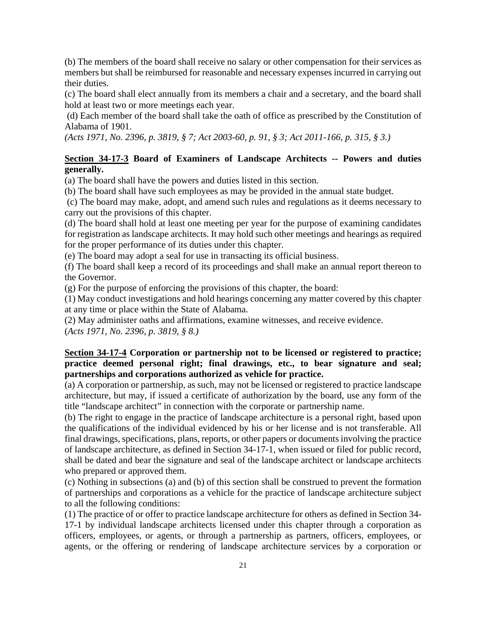(b) The members of the board shall receive no salary or other compensation for their services as members but shall be reimbursed for reasonable and necessary expenses incurred in carrying out their duties.

(c) The board shall elect annually from its members a chair and a secretary, and the board shall hold at least two or more meetings each year.

(d) Each member of the board shall take the oath of office as prescribed by the Constitution of Alabama of 1901.

*(Acts 1971, No. 2396, p. 3819, § 7; Act 2003-60, p. 91, § 3; Act 2011-166, p. 315, § 3.)*

## **Section 34-17-3 Board of Examiners of Landscape Architects -- Powers and duties generally.**

(a) The board shall have the powers and duties listed in this section.

(b) The board shall have such employees as may be provided in the annual state budget.

(c) The board may make, adopt, and amend such rules and regulations as it deems necessary to carry out the provisions of this chapter.

(d) The board shall hold at least one meeting per year for the purpose of examining candidates for registration as landscape architects. It may hold such other meetings and hearings as required for the proper performance of its duties under this chapter.

(e) The board may adopt a seal for use in transacting its official business.

(f) The board shall keep a record of its proceedings and shall make an annual report thereon to the Governor.

(g) For the purpose of enforcing the provisions of this chapter, the board:

(1) May conduct investigations and hold hearings concerning any matter covered by this chapter at any time or place within the State of Alabama.

(2) May administer oaths and affirmations, examine witnesses, and receive evidence.

(*Acts 1971, No. 2396, p. 3819, § 8.)*

## **Section 34-17-4 Corporation or partnership not to be licensed or registered to practice; practice deemed personal right; final drawings, etc., to bear signature and seal; partnerships and corporations authorized as vehicle for practice.**

(a) A corporation or partnership, as such, may not be licensed or registered to practice landscape architecture, but may, if issued a certificate of authorization by the board, use any form of the title "landscape architect" in connection with the corporate or partnership name.

(b) The right to engage in the practice of landscape architecture is a personal right, based upon the qualifications of the individual evidenced by his or her license and is not transferable. All final drawings, specifications, plans, reports, or other papers or documents involving the practice of landscape architecture, as defined in Section 34-17-1, when issued or filed for public record, shall be dated and bear the signature and seal of the landscape architect or landscape architects who prepared or approved them.

(c) Nothing in subsections (a) and (b) of this section shall be construed to prevent the formation of partnerships and corporations as a vehicle for the practice of landscape architecture subject to all the following conditions:

(1) The practice of or offer to practice landscape architecture for others as defined in Section 34- 17-1 by individual landscape architects licensed under this chapter through a corporation as officers, employees, or agents, or through a partnership as partners, officers, employees, or agents, or the offering or rendering of landscape architecture services by a corporation or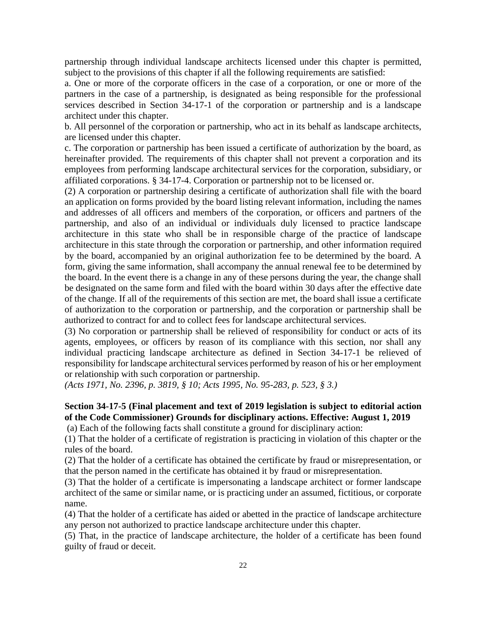partnership through individual landscape architects licensed under this chapter is permitted, subject to the provisions of this chapter if all the following requirements are satisfied:

a. One or more of the corporate officers in the case of a corporation, or one or more of the partners in the case of a partnership, is designated as being responsible for the professional services described in Section 34-17-1 of the corporation or partnership and is a landscape architect under this chapter.

b. All personnel of the corporation or partnership, who act in its behalf as landscape architects, are licensed under this chapter.

c. The corporation or partnership has been issued a certificate of authorization by the board, as hereinafter provided. The requirements of this chapter shall not prevent a corporation and its employees from performing landscape architectural services for the corporation, subsidiary, or affiliated corporations. § 34-17-4. Corporation or partnership not to be licensed or.

(2) A corporation or partnership desiring a certificate of authorization shall file with the board an application on forms provided by the board listing relevant information, including the names and addresses of all officers and members of the corporation, or officers and partners of the partnership, and also of an individual or individuals duly licensed to practice landscape architecture in this state who shall be in responsible charge of the practice of landscape architecture in this state through the corporation or partnership, and other information required by the board, accompanied by an original authorization fee to be determined by the board. A form, giving the same information, shall accompany the annual renewal fee to be determined by the board. In the event there is a change in any of these persons during the year, the change shall be designated on the same form and filed with the board within 30 days after the effective date of the change. If all of the requirements of this section are met, the board shall issue a certificate of authorization to the corporation or partnership, and the corporation or partnership shall be authorized to contract for and to collect fees for landscape architectural services.

(3) No corporation or partnership shall be relieved of responsibility for conduct or acts of its agents, employees, or officers by reason of its compliance with this section, nor shall any individual practicing landscape architecture as defined in Section 34-17-1 be relieved of responsibility for landscape architectural services performed by reason of his or her employment or relationship with such corporation or partnership.

*(Acts 1971, No. 2396, p. 3819, § 10; Acts 1995, No. 95-283, p. 523, § 3.)*

## **Section 34-17-5 (Final placement and text of 2019 legislation is subject to editorial action of the Code Commissioner) Grounds for disciplinary actions. Effective: August 1, 2019**

(a) Each of the following facts shall constitute a ground for disciplinary action:

(1) That the holder of a certificate of registration is practicing in violation of this chapter or the rules of the board.

(2) That the holder of a certificate has obtained the certificate by fraud or misrepresentation, or that the person named in the certificate has obtained it by fraud or misrepresentation.

(3) That the holder of a certificate is impersonating a landscape architect or former landscape architect of the same or similar name, or is practicing under an assumed, fictitious, or corporate name.

(4) That the holder of a certificate has aided or abetted in the practice of landscape architecture any person not authorized to practice landscape architecture under this chapter.

(5) That, in the practice of landscape architecture, the holder of a certificate has been found guilty of fraud or deceit.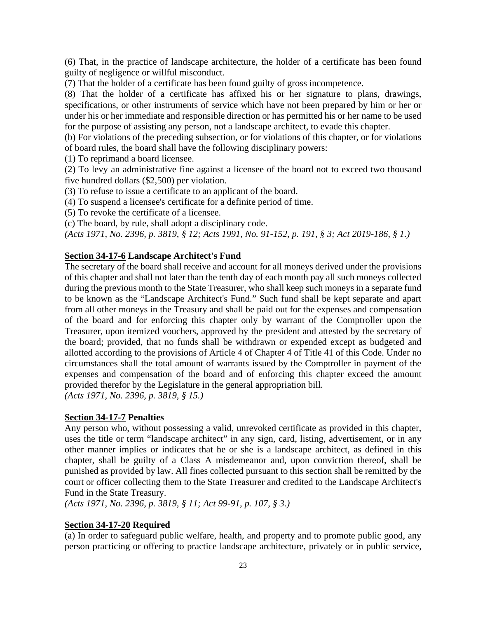(6) That, in the practice of landscape architecture, the holder of a certificate has been found guilty of negligence or willful misconduct.

(7) That the holder of a certificate has been found guilty of gross incompetence.

(8) That the holder of a certificate has affixed his or her signature to plans, drawings, specifications, or other instruments of service which have not been prepared by him or her or under his or her immediate and responsible direction or has permitted his or her name to be used for the purpose of assisting any person, not a landscape architect, to evade this chapter.

(b) For violations of the preceding subsection, or for violations of this chapter, or for violations of board rules, the board shall have the following disciplinary powers:

(1) To reprimand a board licensee.

(2) To levy an administrative fine against a licensee of the board not to exceed two thousand five hundred dollars (\$2,500) per violation.

(3) To refuse to issue a certificate to an applicant of the board.

(4) To suspend a licensee's certificate for a definite period of time.

(5) To revoke the certificate of a licensee.

(c) The board, by rule, shall adopt a disciplinary code.

*(Acts 1971, No. 2396, p. 3819, § 12; Acts 1991, No. 91-152, p. 191, § 3; Act 2019-186, § 1.)*

#### **Section 34-17-6 Landscape Architect's Fund**

The secretary of the board shall receive and account for all moneys derived under the provisions of this chapter and shall not later than the tenth day of each month pay all such moneys collected during the previous month to the State Treasurer, who shall keep such moneys in a separate fund to be known as the "Landscape Architect's Fund." Such fund shall be kept separate and apart from all other moneys in the Treasury and shall be paid out for the expenses and compensation of the board and for enforcing this chapter only by warrant of the Comptroller upon the Treasurer, upon itemized vouchers, approved by the president and attested by the secretary of the board; provided, that no funds shall be withdrawn or expended except as budgeted and allotted according to the provisions of Article 4 of Chapter 4 of Title 41 of this Code. Under no circumstances shall the total amount of warrants issued by the Comptroller in payment of the expenses and compensation of the board and of enforcing this chapter exceed the amount provided therefor by the Legislature in the general appropriation bill. *(Acts 1971, No. 2396, p. 3819, § 15.)*

#### **Section 34-17-7 Penalties**

Any person who, without possessing a valid, unrevoked certificate as provided in this chapter, uses the title or term "landscape architect" in any sign, card, listing, advertisement, or in any other manner implies or indicates that he or she is a landscape architect, as defined in this chapter, shall be guilty of a Class A misdemeanor and, upon conviction thereof, shall be punished as provided by law. All fines collected pursuant to this section shall be remitted by the court or officer collecting them to the State Treasurer and credited to the Landscape Architect's Fund in the State Treasury.

*(Acts 1971, No. 2396, p. 3819, § 11; Act 99-91, p. 107, § 3.)*

## **Section 34-17-20 Required**

(a) In order to safeguard public welfare, health, and property and to promote public good, any person practicing or offering to practice landscape architecture, privately or in public service,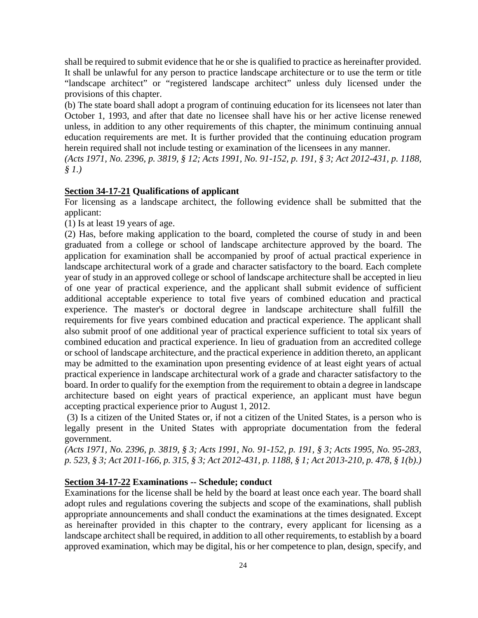shall be required to submit evidence that he or she is qualified to practice as hereinafter provided. It shall be unlawful for any person to practice landscape architecture or to use the term or title "landscape architect" or "registered landscape architect" unless duly licensed under the provisions of this chapter.

(b) The state board shall adopt a program of continuing education for its licensees not later than October 1, 1993, and after that date no licensee shall have his or her active license renewed unless, in addition to any other requirements of this chapter, the minimum continuing annual education requirements are met. It is further provided that the continuing education program herein required shall not include testing or examination of the licensees in any manner.

*(Acts 1971, No. 2396, p. 3819, § 12; Acts 1991, No. 91-152, p. 191, § 3; Act 2012-431, p. 1188, § 1.)*

## **Section 34-17-21 Qualifications of applicant**

For licensing as a landscape architect, the following evidence shall be submitted that the applicant:

(1) Is at least 19 years of age.

(2) Has, before making application to the board, completed the course of study in and been graduated from a college or school of landscape architecture approved by the board. The application for examination shall be accompanied by proof of actual practical experience in landscape architectural work of a grade and character satisfactory to the board. Each complete year of study in an approved college or school of landscape architecture shall be accepted in lieu of one year of practical experience, and the applicant shall submit evidence of sufficient additional acceptable experience to total five years of combined education and practical experience. The master's or doctoral degree in landscape architecture shall fulfill the requirements for five years combined education and practical experience. The applicant shall also submit proof of one additional year of practical experience sufficient to total six years of combined education and practical experience. In lieu of graduation from an accredited college or school of landscape architecture, and the practical experience in addition thereto, an applicant may be admitted to the examination upon presenting evidence of at least eight years of actual practical experience in landscape architectural work of a grade and character satisfactory to the board. In order to qualify for the exemption from the requirement to obtain a degree in landscape architecture based on eight years of practical experience, an applicant must have begun accepting practical experience prior to August 1, 2012.

(3) Is a citizen of the United States or, if not a citizen of the United States, is a person who is legally present in the United States with appropriate documentation from the federal government.

*(Acts 1971, No. 2396, p. 3819, § 3; Acts 1991, No. 91-152, p. 191, § 3; Acts 1995, No. 95-283, p. 523, § 3; Act 2011-166, p. 315, § 3; Act 2012-431, p. 1188, § 1; Act 2013-210, p. 478, § 1(b).)*

#### **Section 34-17-22 Examinations -- Schedule; conduct**

Examinations for the license shall be held by the board at least once each year. The board shall adopt rules and regulations covering the subjects and scope of the examinations, shall publish appropriate announcements and shall conduct the examinations at the times designated. Except as hereinafter provided in this chapter to the contrary, every applicant for licensing as a landscape architect shall be required, in addition to all other requirements, to establish by a board approved examination, which may be digital, his or her competence to plan, design, specify, and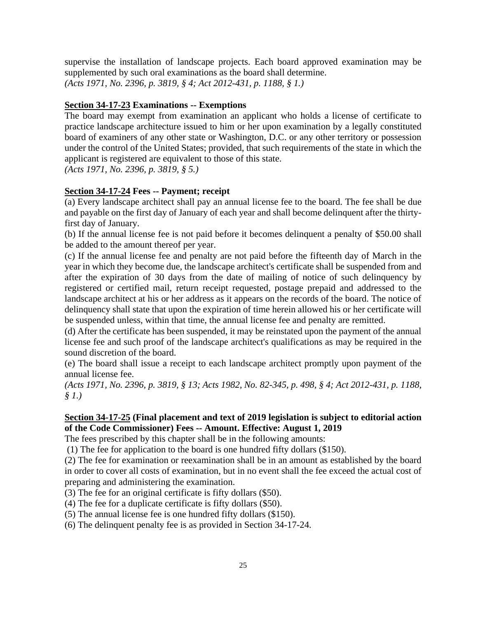supervise the installation of landscape projects. Each board approved examination may be supplemented by such oral examinations as the board shall determine. *(Acts 1971, No. 2396, p. 3819, § 4; Act 2012-431, p. 1188, § 1.)*

#### **Section 34-17-23 Examinations -- Exemptions**

The board may exempt from examination an applicant who holds a license of certificate to practice landscape architecture issued to him or her upon examination by a legally constituted board of examiners of any other state or Washington, D.C. or any other territory or possession under the control of the United States; provided, that such requirements of the state in which the applicant is registered are equivalent to those of this state.

*(Acts 1971, No. 2396, p. 3819, § 5.)*

#### **Section 34-17-24 Fees -- Payment; receipt**

(a) Every landscape architect shall pay an annual license fee to the board. The fee shall be due and payable on the first day of January of each year and shall become delinquent after the thirtyfirst day of January.

(b) If the annual license fee is not paid before it becomes delinquent a penalty of \$50.00 shall be added to the amount thereof per year.

(c) If the annual license fee and penalty are not paid before the fifteenth day of March in the year in which they become due, the landscape architect's certificate shall be suspended from and after the expiration of 30 days from the date of mailing of notice of such delinquency by registered or certified mail, return receipt requested, postage prepaid and addressed to the landscape architect at his or her address as it appears on the records of the board. The notice of delinquency shall state that upon the expiration of time herein allowed his or her certificate will be suspended unless, within that time, the annual license fee and penalty are remitted.

(d) After the certificate has been suspended, it may be reinstated upon the payment of the annual license fee and such proof of the landscape architect's qualifications as may be required in the sound discretion of the board.

(e) The board shall issue a receipt to each landscape architect promptly upon payment of the annual license fee.

*(Acts 1971, No. 2396, p. 3819, § 13; Acts 1982, No. 82-345, p. 498, § 4; Act 2012-431, p. 1188, § 1.)*

## **Section 34-17-25 (Final placement and text of 2019 legislation is subject to editorial action of the Code Commissioner) Fees -- Amount. Effective: August 1, 2019**

The fees prescribed by this chapter shall be in the following amounts:

(1) The fee for application to the board is one hundred fifty dollars (\$150).

(2) The fee for examination or reexamination shall be in an amount as established by the board in order to cover all costs of examination, but in no event shall the fee exceed the actual cost of preparing and administering the examination.

(3) The fee for an original certificate is fifty dollars (\$50).

(4) The fee for a duplicate certificate is fifty dollars (\$50).

(5) The annual license fee is one hundred fifty dollars (\$150).

(6) The delinquent penalty fee is as provided in Section 34-17-24.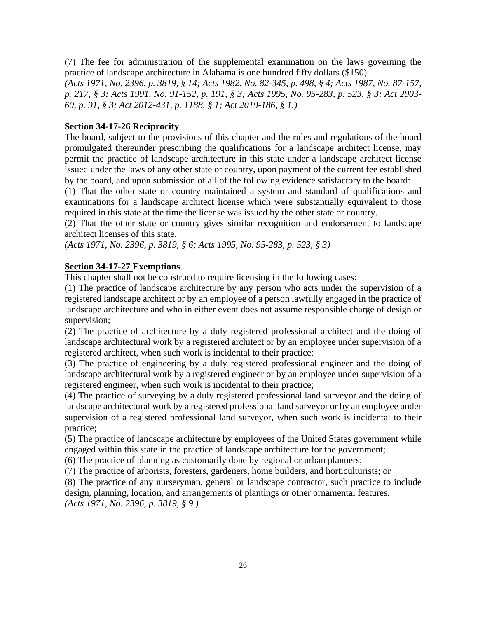(7) The fee for administration of the supplemental examination on the laws governing the practice of landscape architecture in Alabama is one hundred fifty dollars (\$150).

*(Acts 1971, No. 2396, p. 3819, § 14; Acts 1982, No. 82-345, p. 498, § 4; Acts 1987, No. 87-157, p. 217, § 3; Acts 1991, No. 91-152, p. 191, § 3; Acts 1995, No. 95-283, p. 523, § 3; Act 2003- 60, p. 91, § 3; Act 2012-431, p. 1188, § 1; Act 2019-186, § 1.)*

#### **Section 34-17-26 Reciprocity**

The board, subject to the provisions of this chapter and the rules and regulations of the board promulgated thereunder prescribing the qualifications for a landscape architect license, may permit the practice of landscape architecture in this state under a landscape architect license issued under the laws of any other state or country, upon payment of the current fee established by the board, and upon submission of all of the following evidence satisfactory to the board:

(1) That the other state or country maintained a system and standard of qualifications and examinations for a landscape architect license which were substantially equivalent to those required in this state at the time the license was issued by the other state or country.

(2) That the other state or country gives similar recognition and endorsement to landscape architect licenses of this state.

*(Acts 1971, No. 2396, p. 3819, § 6; Acts 1995, No. 95-283, p. 523, § 3)*

#### **Section 34-17-27 Exemptions**

This chapter shall not be construed to require licensing in the following cases:

(1) The practice of landscape architecture by any person who acts under the supervision of a registered landscape architect or by an employee of a person lawfully engaged in the practice of landscape architecture and who in either event does not assume responsible charge of design or supervision;

(2) The practice of architecture by a duly registered professional architect and the doing of landscape architectural work by a registered architect or by an employee under supervision of a registered architect, when such work is incidental to their practice;

(3) The practice of engineering by a duly registered professional engineer and the doing of landscape architectural work by a registered engineer or by an employee under supervision of a registered engineer, when such work is incidental to their practice;

(4) The practice of surveying by a duly registered professional land surveyor and the doing of landscape architectural work by a registered professional land surveyor or by an employee under supervision of a registered professional land surveyor, when such work is incidental to their practice;

(5) The practice of landscape architecture by employees of the United States government while engaged within this state in the practice of landscape architecture for the government;

(6) The practice of planning as customarily done by regional or urban planners;

(7) The practice of arborists, foresters, gardeners, home builders, and horticulturists; or

(8) The practice of any nurseryman, general or landscape contractor, such practice to include design, planning, location, and arrangements of plantings or other ornamental features. *(Acts 1971, No. 2396, p. 3819, § 9.)*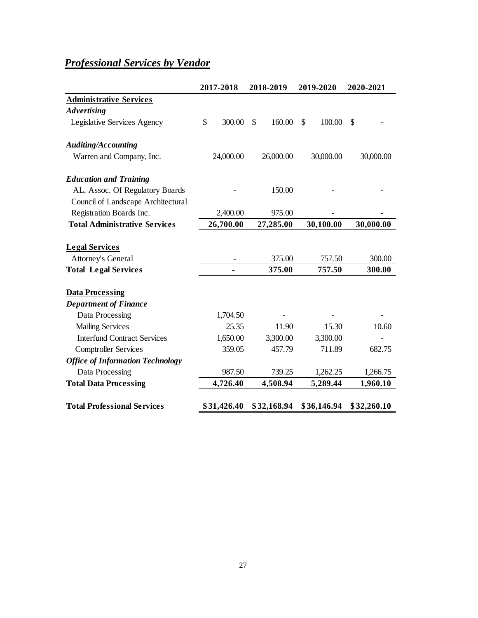# <span id="page-32-0"></span>*Professional Services by Vendor*

|                                         | 2017-2018    | 2018-2019    | 2019-2020    | 2020-2021   |
|-----------------------------------------|--------------|--------------|--------------|-------------|
| <b>Administrative Services</b>          |              |              |              |             |
| <b>Advertising</b>                      |              |              |              |             |
| Legislative Services Agency             | \$<br>300.00 | 160.00<br>\$ | \$<br>100.00 | \$          |
| <b>Auditing/Accounting</b>              |              |              |              |             |
| Warren and Company, Inc.                | 24,000.00    | 26,000.00    | 30,000.00    | 30,000.00   |
| <b>Education and Training</b>           |              |              |              |             |
| AL. Assoc. Of Regulatory Boards         |              | 150.00       |              |             |
| Council of Landscape Architectural      |              |              |              |             |
| Registration Boards Inc.                | 2,400.00     | 975.00       |              |             |
| <b>Total Administrative Services</b>    | 26,700.00    | 27,285.00    | 30,100.00    | 30,000.00   |
| <b>Legal Services</b>                   |              |              |              |             |
| <b>Attorney's General</b>               |              | 375.00       | 757.50       | 300.00      |
| <b>Total Legal Services</b>             |              | 375.00       | 757.50       | 300.00      |
| <b>Data Processing</b>                  |              |              |              |             |
| <b>Department of Finance</b>            |              |              |              |             |
| Data Processing                         | 1,704.50     |              |              |             |
| <b>Mailing Services</b>                 | 25.35        | 11.90        | 15.30        | 10.60       |
| <b>Interfund Contract Services</b>      | 1,650.00     | 3,300.00     | 3,300.00     |             |
| <b>Comptroller Services</b>             | 359.05       | 457.79       | 711.89       | 682.75      |
| <b>Office of Information Technology</b> |              |              |              |             |
| Data Processing                         | 987.50       | 739.25       | 1,262.25     | 1,266.75    |
| <b>Total Data Processing</b>            | 4,726.40     | 4,508.94     | 5,289.44     | 1,960.10    |
| <b>Total Professional Services</b>      | \$31,426.40  | \$32,168.94  | \$36,146.94  | \$32,260.10 |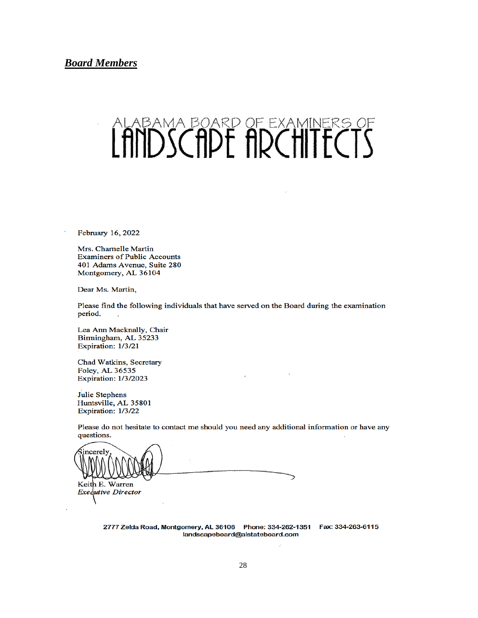<span id="page-33-0"></span>**Board Members** 

# ALABAMA BOARD OF EXAMINERS OF

February 16, 2022

Mrs. Charnelle Martin **Examiners of Public Accounts** 401 Adams Avenue, Suite 280 Montgomery, AL 36104

Dear Ms. Martin,

Please find the following individuals that have served on the Board during the examination period.

Lea Ann Macknally, Chair Birmingham, AL 35233 Expiration: 1/3/21

Chad Watkins, Secretary Foley, AL 36535 **Expiration: 1/3/2023** 

**Julie Stephens** Huntsville, AL 35801 Expiration: 1/3/22

Please do not hesitate to contact me should you need any additional information or have any questions.

 $\omega$ 

incerely Keith E. Warren **Executive Director** 

2777 Zelda Road, Montgomery, AL 36106 Phone: 334-262-1351 Fax: 334-263-6115 landscapeboard@alstateboard.com